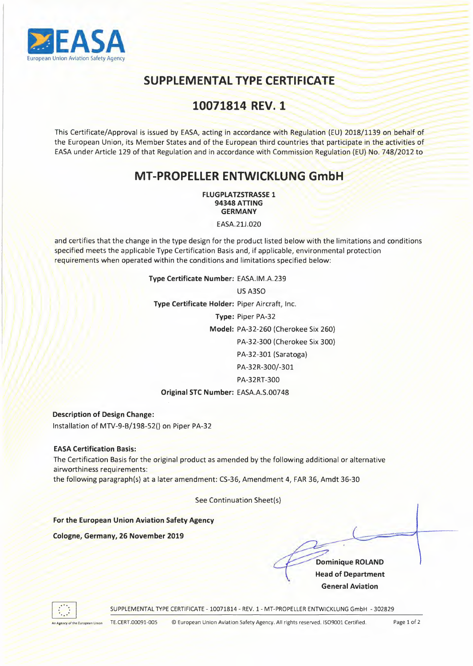

# **SUPPLEMENTAL TYPE CERTIFICATE**

## 10071814 REV. 1

This Certificate/Approval is issued by EASA, acting in accordance with Regulation (EU) 2018/1139 on behalf of the European Union, its Member States and of the European third countries that participate in the activities of EASA under Article 129 of that Regulation and in accordance with Commission Regulation (EU) No. 748/2012 to

### **MT-PROPELLER ENTWICKLUNG GmbH**

**FLUGPLATZSTRASSE 1 <sup>94348</sup>**ATING **GERMANY** 

EASA.21J.020

and certifies that the change in the type design for the product listed below with the limitations and conditions specified meets the applicable Type Certification Basis and, if applicable, environmental protection requirements when operated within the conditions and limitations specified below:

#### **Type Certificate Number:** EASA.IM.A.239

US A3SO **Type Certificate Holder:** Piper Aircraft, Inc. **Type:** Piper PA-32 Model: PA-32-260 (Cherokee Six 260) PA-32-300 (Cherokee Six 300) PA-32-301 (Saratoga) PA-32R-300/-301 PA-32RT-300 **Original STC Number:** EASA.A.S.00748

**Description of Design Change:** 

Installation of MTV-9-B/198-52() on Piper PA-32

EASA Certification **Basis:** 

The Certification Basis for the original product as amended by the following additional or alternative airworthiness requirements:

the following paragraph(s) at a later amendment: CS-36, Amendment 4, FAR 36, Amdt 36-30

See Continuation Sheet(s)

**For the European Union Aviation Safety Agency** 

**Cologne, Germany, 26 November 2019** 

**Dominique ROLAND Head of Department General Aviation** 



SUPPLEMENTAL TYPE CERTIFICATE - 10071814 - REV. 1- MT-PROPELLER ENTWICKLUNG GmbH - 302829